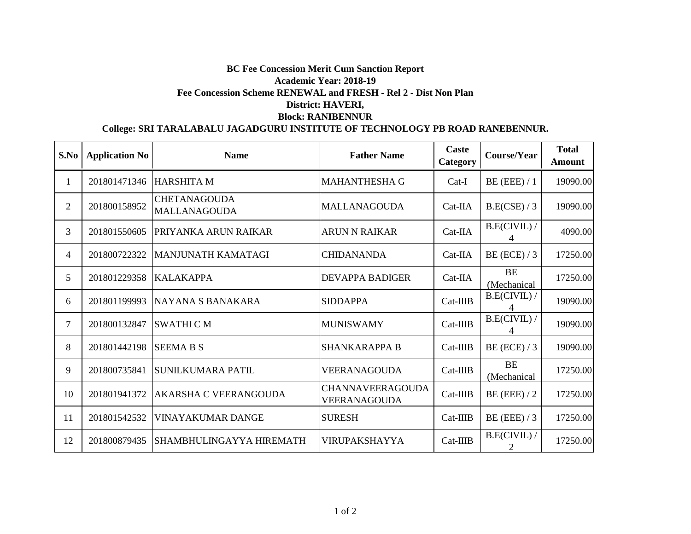## **BC Fee Concession Merit Cum Sanction Report Academic Year: 2018-19 Fee Concession Scheme RENEWAL and FRESH - Rel 2 - Dist Non Plan District: HAVERI, Block: RANIBENNUR**

## **College: SRI TARALABALU JAGADGURU INSTITUTE OF TECHNOLOGY PB ROAD RANEBENNUR.**

| S.No           | <b>Application No</b> | <b>Name</b>                                | <b>Father Name</b>                             | <b>Caste</b><br>Category | Course/Year              | <b>Total</b><br>Amount |
|----------------|-----------------------|--------------------------------------------|------------------------------------------------|--------------------------|--------------------------|------------------------|
|                | 201801471346          | HARSHITA M                                 | <b>MAHANTHESHA G</b>                           | $Cat-I$                  | $BE$ (EEE) / 1           | 19090.00               |
| $\overline{2}$ | 201800158952          | <b>CHETANAGOUDA</b><br><b>MALLANAGOUDA</b> | <b>MALLANAGOUDA</b>                            | $Cat-IIA$                | B.E(CSE) / 3             | 19090.00               |
| 3              | 201801550605          | PRIYANKA ARUN RAIKAR                       | <b>ARUN N RAIKAR</b>                           | $Cat-IIA$                | B.E(CIVIL) /             | 4090.00                |
| 4              | 201800722322          | MANJUNATH KAMATAGI                         | <b>CHIDANANDA</b>                              | Cat-IIA                  | BE (ECE) $/3$            | 17250.00               |
| 5              | 201801229358          | <b>KALAKAPPA</b>                           | <b>DEVAPPA BADIGER</b>                         | $Cat-IIA$                | <b>BE</b><br>(Mechanical | 17250.00               |
| 6              | 201801199993          | INAYANA S BANAKARA                         | <b>SIDDAPPA</b>                                | Cat-IIIB                 | B.E(CIVIL) /             | 19090.00               |
| 7              | 201800132847          | <b>SWATHI CM</b>                           | <b>MUNISWAMY</b>                               | Cat-IIIB                 | B.E(CIVIL) /             | 19090.00               |
| 8              | 201801442198          | <b>SEEMA B S</b>                           | <b>SHANKARAPPA B</b>                           | Cat-IIIB                 | BE (ECE) $/3$            | 19090.00               |
| 9              | 201800735841          | <b>SUNILKUMARA PATIL</b>                   | VEERANAGOUDA                                   | $Cat-IIIB$               | BE<br>(Mechanical        | 17250.00               |
| 10             | 201801941372          | <b>AKARSHA C VEERANGOUDA</b>               | <b>CHANNAVEERAGOUDA</b><br><b>VEERANAGOUDA</b> | Cat-IIIB                 | BE (EEE) $/2$            | 17250.00               |
| 11             | 201801542532          | <b>VINAYAKUMAR DANGE</b>                   | <b>SURESH</b>                                  | Cat-IIIB                 | BE (EEE) $/3$            | 17250.00               |
| 12             | 201800879435          | SHAMBHULINGAYYA HIREMATH                   | VIRUPAKSHAYYA                                  | $Cat-IIIB$               | $B.E(CIVIL)$ /           | 17250.00               |